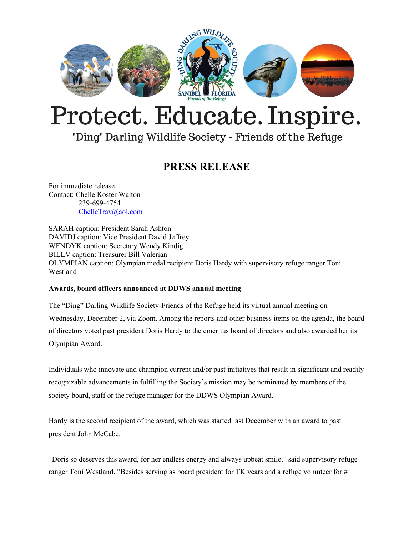

# Protect. Educate. Inspire.

## "Ding" Darling Wildlife Society - Friends of the Refuge

### **PRESS RELEASE**

For immediate release Contact: Chelle Koster Walton 239-699-4754 [ChelleTrav@aol.com](mailto:ChelleTrav@aol.com)

SARAH caption: President Sarah Ashton DAVIDJ caption: Vice President David Jeffrey WENDYK caption: Secretary Wendy Kindig BILLV caption: Treasurer Bill Valerian OLYMPIAN caption: Olympian medal recipient Doris Hardy with supervisory refuge ranger Toni Westland

#### **Awards, board officers announced at DDWS annual meeting**

The "Ding" Darling Wildlife Society-Friends of the Refuge held its virtual annual meeting on Wednesday, December 2, via Zoom. Among the reports and other business items on the agenda, the board of directors voted past president Doris Hardy to the emeritus board of directors and also awarded her its Olympian Award.

Individuals who innovate and champion current and/or past initiatives that result in significant and readily recognizable advancements in fulfilling the Society's mission may be nominated by members of the society board, staff or the refuge manager for the DDWS Olympian Award.

Hardy is the second recipient of the award, which was started last December with an award to past president John McCabe.

"Doris so deserves this award, for her endless energy and always upbeat smile," said supervisory refuge ranger Toni Westland. "Besides serving as board president for TK years and a refuge volunteer for #